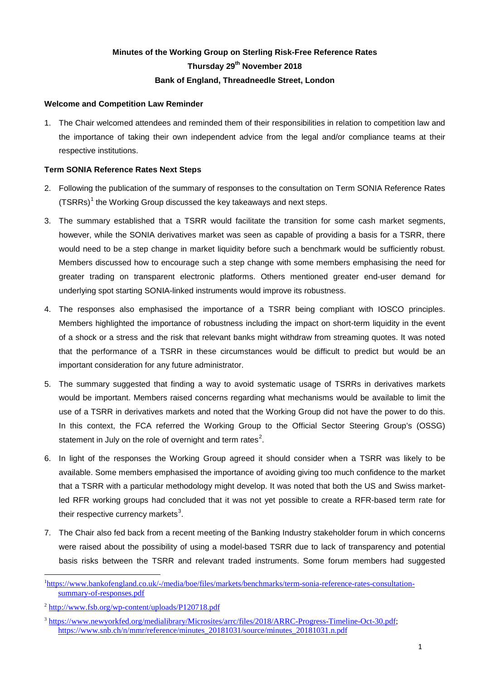# **Minutes of the Working Group on Sterling Risk-Free Reference Rates Thursday 29th November 2018 Bank of England, Threadneedle Street, London**

# **Welcome and Competition Law Reminder**

1. The Chair welcomed attendees and reminded them of their responsibilities in relation to competition law and the importance of taking their own independent advice from the legal and/or compliance teams at their respective institutions.

# **Term SONIA Reference Rates Next Steps**

- 2. Following the publication of the summary of responses to the consultation on Term SONIA Reference Rates  $(TSRRs)^{1}$  $(TSRRs)^{1}$  $(TSRRs)^{1}$  the Working Group discussed the key takeaways and next steps.
- 3. The summary established that a TSRR would facilitate the transition for some cash market segments, however, while the SONIA derivatives market was seen as capable of providing a basis for a TSRR, there would need to be a step change in market liquidity before such a benchmark would be sufficiently robust. Members discussed how to encourage such a step change with some members emphasising the need for greater trading on transparent electronic platforms. Others mentioned greater end-user demand for underlying spot starting SONIA-linked instruments would improve its robustness.
- 4. The responses also emphasised the importance of a TSRR being compliant with IOSCO principles. Members highlighted the importance of robustness including the impact on short-term liquidity in the event of a shock or a stress and the risk that relevant banks might withdraw from streaming quotes. It was noted that the performance of a TSRR in these circumstances would be difficult to predict but would be an important consideration for any future administrator.
- 5. The summary suggested that finding a way to avoid systematic usage of TSRRs in derivatives markets would be important. Members raised concerns regarding what mechanisms would be available to limit the use of a TSRR in derivatives markets and noted that the Working Group did not have the power to do this. In this context, the FCA referred the Working Group to the Official Sector Steering Group's (OSSG) statement in July on the role of overnight and term rates<sup>[2](#page-0-1)</sup>.
- 6. In light of the responses the Working Group agreed it should consider when a TSRR was likely to be available. Some members emphasised the importance of avoiding giving too much confidence to the market that a TSRR with a particular methodology might develop. It was noted that both the US and Swiss marketled RFR working groups had concluded that it was not yet possible to create a RFR-based term rate for their respective currency markets<sup>[3](#page-0-2)</sup>.
- 7. The Chair also fed back from a recent meeting of the Banking Industry stakeholder forum in which concerns were raised about the possibility of using a model-based TSRR due to lack of transparency and potential basis risks between the TSRR and relevant traded instruments. Some forum members had suggested

<span id="page-0-0"></span> $\overline{a}$ <sup>1</sup>[https://www.bankofengland.co.uk/-/media/boe/files/markets/benchmarks/term-sonia-reference-rates-consultation](https://www.bankofengland.co.uk/-/media/boe/files/markets/benchmarks/term-sonia-reference-rates-consultation-summary-of-responses.pdf)[summary-of-responses.pdf](https://www.bankofengland.co.uk/-/media/boe/files/markets/benchmarks/term-sonia-reference-rates-consultation-summary-of-responses.pdf)

<span id="page-0-1"></span><sup>2</sup> <http://www.fsb.org/wp-content/uploads/P120718.pdf>

<span id="page-0-2"></span><sup>3</sup> [https://www.newyorkfed.org/medialibrary/Microsites/arrc/files/2018/ARRC-Progress-Timeline-Oct-30.pdf;](https://www.newyorkfed.org/medialibrary/Microsites/arrc/files/2018/ARRC-Progress-Timeline-Oct-30.pdf) [https://www.snb.ch/n/mmr/reference/minutes\\_20181031/source/minutes\\_20181031.n.pdf](https://www.snb.ch/n/mmr/reference/minutes_20181031/source/minutes_20181031.n.pdf)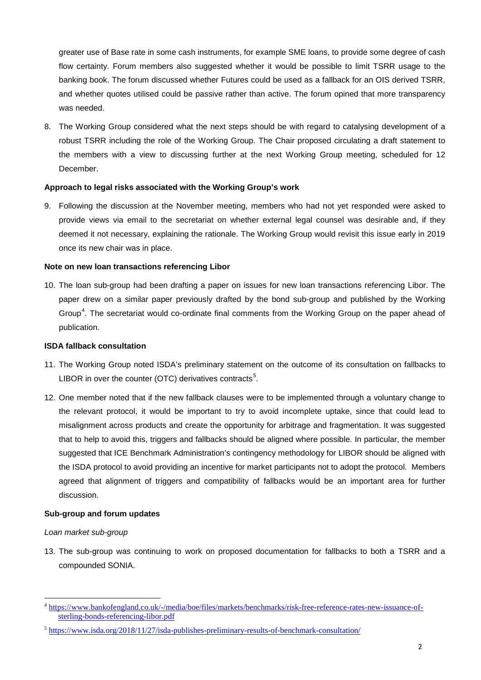greater use of Base rate in some cash instruments, for example SME loans, to provide some degree of cash flow certainty. Forum members also suggested whether it would be possible to limit TSRR usage to the banking book. The forum discussed whether Futures could be used as a fallback for an OIS derived TSRR, and whether quotes utilised could be passive rather than active. The forum opined that more transparency was needed.

8. The Working Group considered what the next steps should be with regard to catalysing development of a robust TSRR including the role of the Working Group. The Chair proposed circulating a draft statement to the members with a view to discussing further at the next Working Group meeting, scheduled for 12 December.

# **Approach to legal risks associated with the Working Group's work**

9. Following the discussion at the November meeting, members who had not yet responded were asked to provide views via email to the secretariat on whether external legal counsel was desirable and, if they deemed it not necessary, explaining the rationale. The Working Group would revisit this issue early in 2019 once its new chair was in place.

# **Note on new loan transactions referencing Libor**

10. The loan sub-group had been drafting a paper on issues for new loan transactions referencing Libor. The paper drew on a similar paper previously drafted by the bond sub-group and published by the Working Group<sup>[4](#page-1-0)</sup>. The secretariat would co-ordinate final comments from the Working Group on the paper ahead of publication.

# **ISDA fallback consultation**

- 11. The Working Group noted ISDA's preliminary statement on the outcome of its consultation on fallbacks to LIBOR in over the counter (OTC) derivatives contracts<sup>[5](#page-1-1)</sup>.
- 12. One member noted that if the new fallback clauses were to be implemented through a voluntary change to the relevant protocol, it would be important to try to avoid incomplete uptake, since that could lead to misalignment across products and create the opportunity for arbitrage and fragmentation. It was suggested that to help to avoid this, triggers and fallbacks should be aligned where possible. In particular, the member suggested that ICE Benchmark Administration's contingency methodology for LIBOR should be aligned with the ISDA protocol to avoid providing an incentive for market participants not to adopt the protocol. Members agreed that alignment of triggers and compatibility of fallbacks would be an important area for further discussion.

# **Sub-group and forum updates**

# *Loan market sub-group*

 $\overline{a}$ 

13. The sub-group was continuing to work on proposed documentation for fallbacks to both a TSRR and a compounded SONIA.

<span id="page-1-0"></span><sup>&</sup>lt;sup>4</sup> [https://www.bankofengland.co.uk/-/media/boe/files/markets/benchmarks/risk-free-reference-rates-new-issuance-of](https://www.bankofengland.co.uk/-/media/boe/files/markets/benchmarks/risk-free-reference-rates-new-issuance-of-sterling-bonds-referencing-libor.pdf)[sterling-bonds-referencing-libor.pdf](https://www.bankofengland.co.uk/-/media/boe/files/markets/benchmarks/risk-free-reference-rates-new-issuance-of-sterling-bonds-referencing-libor.pdf)

<span id="page-1-1"></span><sup>&</sup>lt;sup>5</sup> <https://www.isda.org/2018/11/27/isda-publishes-preliminary-results-of-benchmark-consultation/>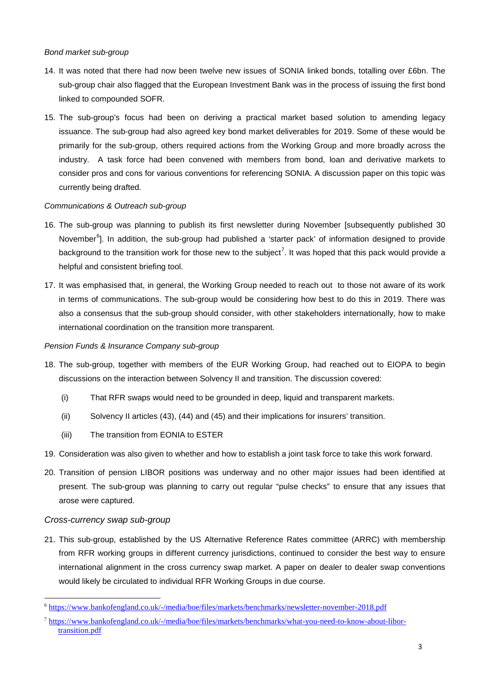# *Bond market sub-group*

- 14. It was noted that there had now been twelve new issues of SONIA linked bonds, totalling over £6bn. The sub-group chair also flagged that the European Investment Bank was in the process of issuing the first bond linked to compounded SOFR.
- 15. The sub-group's focus had been on deriving a practical market based solution to amending legacy issuance. The sub-group had also agreed key bond market deliverables for 2019. Some of these would be primarily for the sub-group, others required actions from the Working Group and more broadly across the industry. A task force had been convened with members from bond, loan and derivative markets to consider pros and cons for various conventions for referencing SONIA. A discussion paper on this topic was currently being drafted.

# *Communications & Outreach sub-group*

- 16. The sub-group was planning to publish its first newsletter during November [subsequently published 30 November<sup>[6](#page-2-0)</sup>]. In addition, the sub-group had published a 'starter pack' of information designed to provide background to the transition work for those new to the subject<sup>[7](#page-2-1)</sup>. It was hoped that this pack would provide a helpful and consistent briefing tool.
- 17. It was emphasised that, in general, the Working Group needed to reach out to those not aware of its work in terms of communications. The sub-group would be considering how best to do this in 2019. There was also a consensus that the sub-group should consider, with other stakeholders internationally, how to make international coordination on the transition more transparent.

# *Pension Funds & Insurance Company sub-group*

- 18. The sub-group, together with members of the EUR Working Group, had reached out to EIOPA to begin discussions on the interaction between Solvency II and transition. The discussion covered:
	- (i) That RFR swaps would need to be grounded in deep, liquid and transparent markets.
	- (ii) Solvency II articles (43), (44) and (45) and their implications for insurers' transition.
	- (iii) The transition from EONIA to ESTER
- 19. Consideration was also given to whether and how to establish a joint task force to take this work forward.
- 20. Transition of pension LIBOR positions was underway and no other major issues had been identified at present. The sub-group was planning to carry out regular "pulse checks" to ensure that any issues that arose were captured.

# *Cross-currency swap sub-group*

 $\overline{a}$ 

21. This sub-group, established by the US Alternative Reference Rates committee (ARRC) with membership from RFR working groups in different currency jurisdictions, continued to consider the best way to ensure international alignment in the cross currency swap market. A paper on dealer to dealer swap conventions would likely be circulated to individual RFR Working Groups in due course.

<span id="page-2-0"></span><sup>6</sup> <https://www.bankofengland.co.uk/-/media/boe/files/markets/benchmarks/newsletter-november-2018.pdf>

<span id="page-2-1"></span><sup>7</sup> [https://www.bankofengland.co.uk/-/media/boe/files/markets/benchmarks/what-you-need-to-know-about-libor](https://www.bankofengland.co.uk/-/media/boe/files/markets/benchmarks/what-you-need-to-know-about-libor-transition.pdf)[transition.pdf](https://www.bankofengland.co.uk/-/media/boe/files/markets/benchmarks/what-you-need-to-know-about-libor-transition.pdf)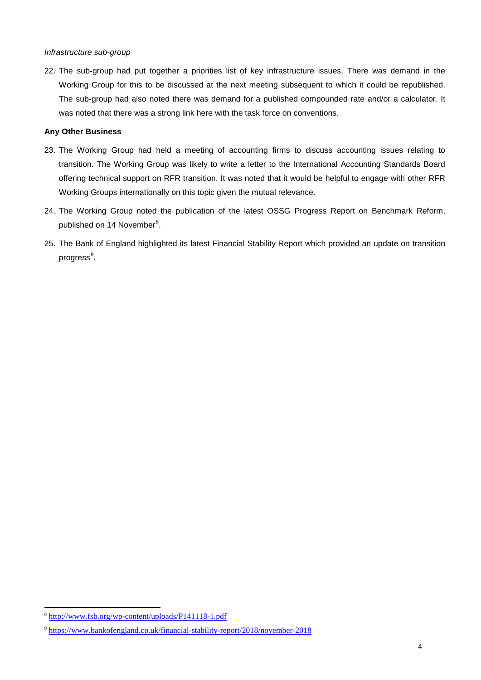#### *Infrastructure sub-group*

22. The sub-group had put together a priorities list of key infrastructure issues. There was demand in the Working Group for this to be discussed at the next meeting subsequent to which it could be republished. The sub-group had also noted there was demand for a published compounded rate and/or a calculator. It was noted that there was a strong link here with the task force on conventions.

# **Any Other Business**

- 23. The Working Group had held a meeting of accounting firms to discuss accounting issues relating to transition. The Working Group was likely to write a letter to the International Accounting Standards Board offering technical support on RFR transition. It was noted that it would be helpful to engage with other RFR Working Groups internationally on this topic given the mutual relevance.
- 24. The Working Group noted the publication of the latest OSSG Progress Report on Benchmark Reform, published on 14 November $^8$  $^8$ .
- 25. The Bank of England highlighted its latest Financial Stability Report which provided an update on transition progress<sup>[9](#page-3-1)</sup>.

 $\overline{a}$ 

<span id="page-3-0"></span><sup>&</sup>lt;sup>8</sup> <http://www.fsb.org/wp-content/uploads/P141118-1.pdf>

<span id="page-3-1"></span><sup>9</sup> <https://www.bankofengland.co.uk/financial-stability-report/2018/november-2018>